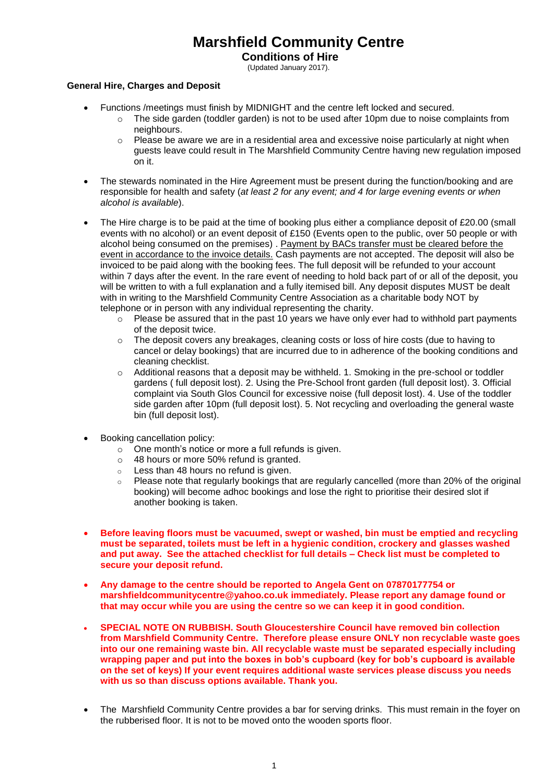# **Marshfield Community Centre**

**Conditions of Hire**

(Updated January 2017).

### **General Hire, Charges and Deposit**

- Functions /meetings must finish by MIDNIGHT and the centre left locked and secured.
	- $\circ$  The side garden (toddler garden) is not to be used after 10pm due to noise complaints from neighbours.
	- $\circ$  Please be aware we are in a residential area and excessive noise particularly at night when guests leave could result in The Marshfield Community Centre having new regulation imposed on it.
- The stewards nominated in the Hire Agreement must be present during the function/booking and are responsible for health and safety (*at least 2 for any event; and 4 for large evening events or when alcohol is available*).
- The Hire charge is to be paid at the time of booking plus either a compliance deposit of £20.00 (small events with no alcohol) or an event deposit of £150 (Events open to the public, over 50 people or with alcohol being consumed on the premises). Payment by BACs transfer must be cleared before the event in accordance to the invoice details. Cash payments are not accepted. The deposit will also be invoiced to be paid along with the booking fees. The full deposit will be refunded to your account within 7 days after the event. In the rare event of needing to hold back part of or all of the deposit, you will be written to with a full explanation and a fully itemised bill. Any deposit disputes MUST be dealt with in writing to the Marshfield Community Centre Association as a charitable body NOT by telephone or in person with any individual representing the charity.
	- $\circ$  Please be assured that in the past 10 years we have only ever had to withhold part payments of the deposit twice.
	- o The deposit covers any breakages, cleaning costs or loss of hire costs (due to having to cancel or delay bookings) that are incurred due to in adherence of the booking conditions and cleaning checklist.
	- $\circ$  Additional reasons that a deposit may be withheld. 1. Smoking in the pre-school or toddler gardens ( full deposit lost). 2. Using the Pre-School front garden (full deposit lost). 3. Official complaint via South Glos Council for excessive noise (full deposit lost). 4. Use of the toddler side garden after 10pm (full deposit lost). 5. Not recycling and overloading the general waste bin (full deposit lost).
- Booking cancellation policy:
	- $\circ$  One month's notice or more a full refunds is given.
	- o 48 hours or more 50% refund is granted.
	- o Less than 48 hours no refund is given.
	- o Please note that regularly bookings that are regularly cancelled (more than 20% of the original booking) will become adhoc bookings and lose the right to prioritise their desired slot if another booking is taken.
- **Before leaving floors must be vacuumed, swept or washed, bin must be emptied and recycling must be separated, toilets must be left in a hygienic condition, crockery and glasses washed and put away. See the attached checklist for full details – Check list must be completed to secure your deposit refund.**
- **Any damage to the centre should be reported to Angela Gent on 07870177754 or marshfieldcommunitycentre@yahoo.co.uk immediately. Please report any damage found or that may occur while you are using the centre so we can keep it in good condition.**
- **SPECIAL NOTE ON RUBBISH. South Gloucestershire Council have removed bin collection from Marshfield Community Centre. Therefore please ensure ONLY non recyclable waste goes into our one remaining waste bin. All recyclable waste must be separated especially including wrapping paper and put into the boxes in bob's cupboard (key for bob's cupboard is available on the set of keys) If your event requires additional waste services please discuss you needs with us so than discuss options available. Thank you.**
- The Marshfield Community Centre provides a bar for serving drinks. This must remain in the fover on the rubberised floor. It is not to be moved onto the wooden sports floor.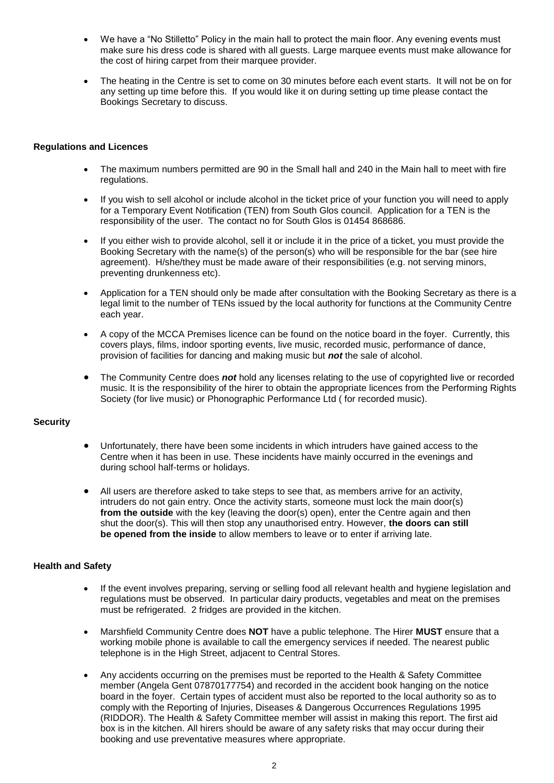- We have a "No Stilletto" Policy in the main hall to protect the main floor. Any evening events must make sure his dress code is shared with all guests. Large marquee events must make allowance for the cost of hiring carpet from their marquee provider.
- The heating in the Centre is set to come on 30 minutes before each event starts. It will not be on for any setting up time before this. If you would like it on during setting up time please contact the Bookings Secretary to discuss.

### **Regulations and Licences**

- The maximum numbers permitted are 90 in the Small hall and 240 in the Main hall to meet with fire regulations.
- If you wish to sell alcohol or include alcohol in the ticket price of your function you will need to apply for a Temporary Event Notification (TEN) from South Glos council. Application for a TEN is the responsibility of the user. The contact no for South Glos is 01454 868686.
- If you either wish to provide alcohol, sell it or include it in the price of a ticket, you must provide the Booking Secretary with the name(s) of the person(s) who will be responsible for the bar (see hire agreement). H/she/they must be made aware of their responsibilities (e.g. not serving minors, preventing drunkenness etc).
- Application for a TEN should only be made after consultation with the Booking Secretary as there is a legal limit to the number of TENs issued by the local authority for functions at the Community Centre each year.
- A copy of the MCCA Premises licence can be found on the notice board in the foyer. Currently, this covers plays, films, indoor sporting events, live music, recorded music, performance of dance, provision of facilities for dancing and making music but *not* the sale of alcohol.
- The Community Centre does **not** hold any licenses relating to the use of copyrighted live or recorded music. It is the responsibility of the hirer to obtain the appropriate licences from the Performing Rights Society (for live music) or Phonographic Performance Ltd ( for recorded music).

# **Security**

- Unfortunately, there have been some incidents in which intruders have gained access to the Centre when it has been in use. These incidents have mainly occurred in the evenings and during school half-terms or holidays.
- All users are therefore asked to take steps to see that, as members arrive for an activity, intruders do not gain entry. Once the activity starts, someone must lock the main door(s) **from the outside** with the key (leaving the door(s) open), enter the Centre again and then shut the door(s). This will then stop any unauthorised entry. However, **the doors can still be opened from the inside** to allow members to leave or to enter if arriving late.

# **Health and Safety**

- If the event involves preparing, serving or selling food all relevant health and hygiene legislation and regulations must be observed. In particular dairy products, vegetables and meat on the premises must be refrigerated. 2 fridges are provided in the kitchen.
- Marshfield Community Centre does **NOT** have a public telephone. The Hirer **MUST** ensure that a working mobile phone is available to call the emergency services if needed. The nearest public telephone is in the High Street, adjacent to Central Stores.
- Any accidents occurring on the premises must be reported to the Health & Safety Committee member (Angela Gent 07870177754) and recorded in the accident book hanging on the notice board in the foyer. Certain types of accident must also be reported to the local authority so as to comply with the Reporting of Injuries, Diseases & Dangerous Occurrences Regulations 1995 (RIDDOR). The Health & Safety Committee member will assist in making this report. The first aid box is in the kitchen. All hirers should be aware of any safety risks that may occur during their booking and use preventative measures where appropriate.